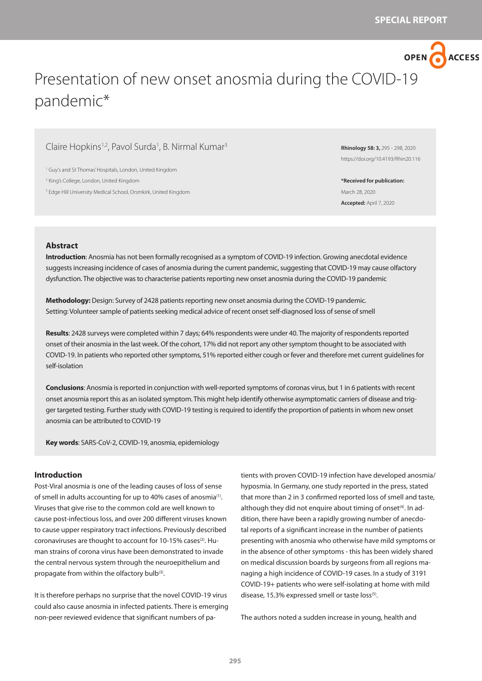OPEN ACCESS

# Presentation of new onset anosmia during the COVID-19 pandemic\*

# Claire Hopkins<sup>1,2</sup>, Pavol Surda<sup>1</sup>, B. Nirmal Kumar<sup>3</sup>

1 Guy's and St Thomas' Hospitals, London, United Kingdom

2 King's College, London, United Kingdom

3 Edge Hill University Medical School, Orsmkirk, United Kingdom

**Rhinology 58: 3,** 295 - 298, 2020 https://doi.org/10.4193/Rhin20.116

**\*Received for publication:** March 28, 2020 **Accepted:** April 7, 2020

## **Abstract**

**Introduction**: Anosmia has not been formally recognised as a symptom of COVID-19 infection. Growing anecdotal evidence suggests increasing incidence of cases of anosmia during the current pandemic, suggesting that COVID-19 may cause olfactory dysfunction. The objective was to characterise patients reporting new onset anosmia during the COVID-19 pandemic

**Methodology:** Design: Survey of 2428 patients reporting new onset anosmia during the COVID-19 pandemic. Setting: Volunteer sample of patients seeking medical advice of recent onset self-diagnosed loss of sense of smell

**Results**: 2428 surveys were completed within 7 days; 64% respondents were under 40. The majority of respondents reported onset of their anosmia in the last week. Of the cohort, 17% did not report any other symptom thought to be associated with COVID-19. In patients who reported other symptoms, 51% reported either cough or fever and therefore met current guidelines for self-isolation

**Conclusions**: Anosmia is reported in conjunction with well-reported symptoms of coronas virus, but 1 in 6 patients with recent onset anosmia report this as an isolated symptom. This might help identify otherwise asymptomatic carriers of disease and trigger targeted testing. Further study with COVID-19 testing is required to identify the proportion of patients in whom new onset anosmia can be attributed to COVID-19

**Key words**: SARS-CoV-2, COVID-19, anosmia, epidemiology

## **Introduction**

Post-Viral anosmia is one of the leading causes of loss of sense of smell in adults accounting for up to 40% cases of anosmia<sup>(1)</sup>. Viruses that give rise to the common cold are well known to cause post-infectious loss, and over 200 different viruses known to cause upper respiratory tract infections. Previously described coronaviruses are thought to account for 10-15% cases<sup>(2)</sup>. Human strains of corona virus have been demonstrated to invade the central nervous system through the neuroepithelium and propagate from within the olfactory bulb<sup>(3)</sup>.

It is therefore perhaps no surprise that the novel COVID-19 virus could also cause anosmia in infected patients. There is emerging non-peer reviewed evidence that significant numbers of pa-

tients with proven COVID-19 infection have developed anosmia/ hyposmia. In Germany, one study reported in the press, stated that more than 2 in 3 confirmed reported loss of smell and taste, although they did not enquire about timing of onset $(4)$ . In addition, there have been a rapidly growing number of anecdotal reports of a significant increase in the number of patients presenting with anosmia who otherwise have mild symptoms or in the absence of other symptoms - this has been widely shared on medical discussion boards by surgeons from all regions managing a high incidence of COVID-19 cases. In a study of 3191 COVID-19+ patients who were self-isolating at home with mild disease, 15.3% expressed smell or taste loss<sup>(5)</sup>.

The authors noted a sudden increase in young, health and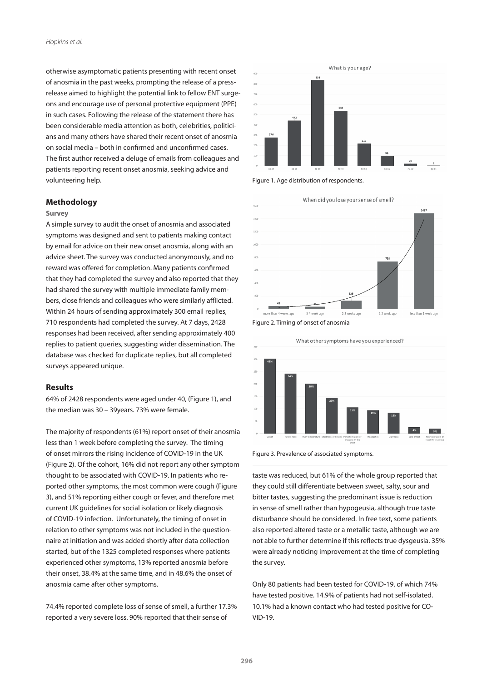otherwise asymptomatic patients presenting with recent onset of anosmia in the past weeks, prompting the release of a pressrelease aimed to highlight the potential link to fellow ENT surgeons and encourage use of personal protective equipment (PPE) in such cases. Following the release of the statement there has been considerable media attention as both, celebrities, politicians and many others have shared their recent onset of anosmia on social media – both in confirmed and unconfirmed cases. The first author received a deluge of emails from colleagues and patients reporting recent onset anosmia, seeking advice and volunteering help.

## **Methodology**

#### **Survey**

A simple survey to audit the onset of anosmia and associated symptoms was designed and sent to patients making contact by email for advice on their new onset anosmia, along with an advice sheet. The survey was conducted anonymously, and no reward was offered for completion. Many patients confirmed that they had completed the survey and also reported that they had shared the survey with multiple immediate family members, close friends and colleagues who were similarly afflicted. Within 24 hours of sending approximately 300 email replies, 710 respondents had completed the survey. At 7 days, 2428 responses had been received, after sending approximately 400 replies to patient queries, suggesting wider dissemination. The database was checked for duplicate replies, but all completed surveys appeared unique.

## **Results**

64% of 2428 respondents were aged under 40, (Figure 1), and the median was 30 – 39years. 73% were female.

The majority of respondents (61%) report onset of their anosmia less than 1 week before completing the survey. The timing of onset mirrors the rising incidence of COVID-19 in the UK (Figure 2). Of the cohort, 16% did not report any other symptom thought to be associated with COVID-19. In patients who reported other symptoms, the most common were cough (Figure 3), and 51% reporting either cough or fever, and therefore met current UK guidelines for social isolation or likely diagnosis of COVID-19 infection. Unfortunately, the timing of onset in relation to other symptoms was not included in the questionnaire at initiation and was added shortly after data collection started, but of the 1325 completed responses where patients experienced other symptoms, 13% reported anosmia before their onset, 38.4% at the same time, and in 48.6% the onset of anosmia came after other symptoms.

74.4% reported complete loss of sense of smell, a further 17.3% reported a very severe loss. 90% reported that their sense of











Figure 3. Prevalence of associated symptoms.

taste was reduced, but 61% of the whole group reported that they could still differentiate between sweet, salty, sour and bitter tastes, suggesting the predominant issue is reduction in sense of smell rather than hypogeusia, although true taste disturbance should be considered. In free text, some patients also reported altered taste or a metallic taste, although we are not able to further determine if this reflects true dysgeusia. 35% were already noticing improvement at the time of completing the survey.

Only 80 patients had been tested for COVID-19, of which 74% have tested positive. 14.9% of patients had not self-isolated. 10.1% had a known contact who had tested positive for CO-VID-19.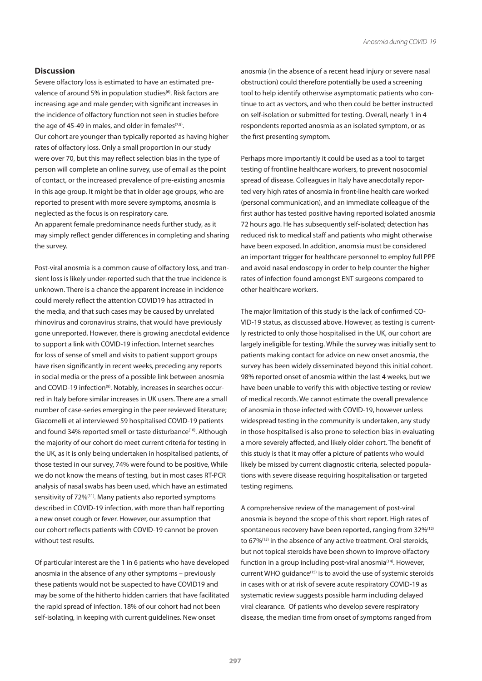### **Discussion**

Severe olfactory loss is estimated to have an estimated prevalence of around 5% in population studies<sup>(6)</sup>. Risk factors are increasing age and male gender; with significant increases in the incidence of olfactory function not seen in studies before the age of 45-49 in males, and older in females $(7,8)$ . Our cohort are younger than typically reported as having higher rates of olfactory loss. Only a small proportion in our study were over 70, but this may reflect selection bias in the type of person will complete an online survey, use of email as the point of contact, or the increased prevalence of pre-existing anosmia in this age group. It might be that in older age groups, who are reported to present with more severe symptoms, anosmia is neglected as the focus is on respiratory care.

An apparent female predominance needs further study, as it may simply reflect gender differences in completing and sharing the survey.

Post-viral anosmia is a common cause of olfactory loss, and transient loss is likely under-reported such that the true incidence is unknown. There is a chance the apparent increase in incidence could merely reflect the attention COVID19 has attracted in the media, and that such cases may be caused by unrelated rhinovirus and coronavirus strains, that would have previously gone unreported. However, there is growing anecdotal evidence to support a link with COVID-19 infection. Internet searches for loss of sense of smell and visits to patient support groups have risen significantly in recent weeks, preceding any reports in social media or the press of a possible link between anosmia and COVID-19 infection<sup>(9)</sup>. Notably, increases in searches occurred in Italy before similar increases in UK users. There are a small number of case-series emerging in the peer reviewed literature; Giacomelli et al interviewed 59 hospitalised COVID-19 patients and found 34% reported smell or taste disturbance<sup>(10)</sup>. Although the majority of our cohort do meet current criteria for testing in the UK, as it is only being undertaken in hospitalised patients, of those tested in our survey, 74% were found to be positive, While we do not know the means of testing, but in most cases RT-PCR analysis of nasal swabs has been used, which have an estimated sensitivity of 72%<sup>(11)</sup>. Many patients also reported symptoms described in COVID-19 infection, with more than half reporting a new onset cough or fever. However, our assumption that our cohort reflects patients with COVID-19 cannot be proven without test results.

Of particular interest are the 1 in 6 patients who have developed anosmia in the absence of any other symptoms – previously these patients would not be suspected to have COVID19 and may be some of the hitherto hidden carriers that have facilitated the rapid spread of infection. 18% of our cohort had not been self-isolating, in keeping with current guidelines. New onset

anosmia (in the absence of a recent head injury or severe nasal obstruction) could therefore potentially be used a screening tool to help identify otherwise asymptomatic patients who continue to act as vectors, and who then could be better instructed on self-isolation or submitted for testing. Overall, nearly 1 in 4 respondents reported anosmia as an isolated symptom, or as the first presenting symptom.

Perhaps more importantly it could be used as a tool to target testing of frontline healthcare workers, to prevent nosocomial spread of disease. Colleagues in Italy have anecdotally reported very high rates of anosmia in front-line health care worked (personal communication), and an immediate colleague of the first author has tested positive having reported isolated anosmia 72 hours ago. He has subsequently self-isolated; detection has reduced risk to medical staff and patients who might otherwise have been exposed. In addition, anomsia must be considered an important trigger for healthcare personnel to employ full PPE and avoid nasal endoscopy in order to help counter the higher rates of infection found amongst ENT surgeons compared to other healthcare workers.

The major limitation of this study is the lack of confirmed CO-VID-19 status, as discussed above. However, as testing is currently restricted to only those hospitalised in the UK, our cohort are largely ineligible for testing. While the survey was initially sent to patients making contact for advice on new onset anosmia, the survey has been widely disseminated beyond this initial cohort. 98% reported onset of anosmia within the last 4 weeks, but we have been unable to verify this with objective testing or review of medical records. We cannot estimate the overall prevalence of anosmia in those infected with COVID-19, however unless widespread testing in the community is undertaken, any study in those hospitalised is also prone to selection bias in evaluating a more severely affected, and likely older cohort. The benefit of this study is that it may offer a picture of patients who would likely be missed by current diagnostic criteria, selected populations with severe disease requiring hospitalisation or targeted testing regimens.

A comprehensive review of the management of post-viral anosmia is beyond the scope of this short report. High rates of spontaneous recovery have been reported, ranging from 32%<sup>(12)</sup> to 67%<sup>(13)</sup> in the absence of any active treatment. Oral steroids, but not topical steroids have been shown to improve olfactory function in a group including post-viral anosmia<sup>(14)</sup>. However, current WHO guidance<sup>(15)</sup> is to avoid the use of systemic steroids in cases with or at risk of severe acute respiratory COVID-19 as systematic review suggests possible harm including delayed viral clearance. Of patients who develop severe respiratory disease, the median time from onset of symptoms ranged from